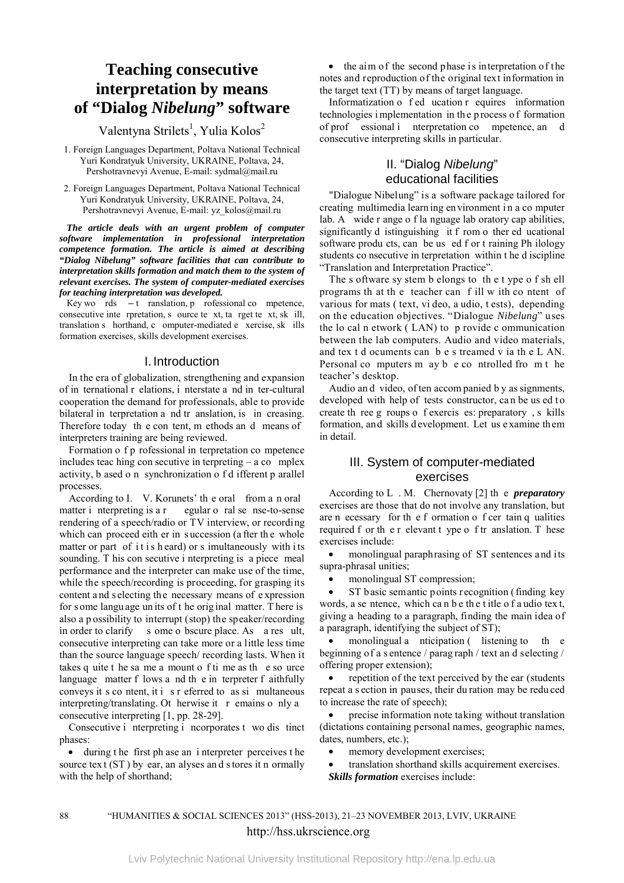# **Teaching consecutive** interpretation by means of "Dialog Nibelung" software

Valentyna Strilets<sup>1</sup>, Yulia Kolos<sup>2</sup>

1. Foreign Languages Department, Poltava National Technical Yuri Kondratyuk University, UKRAINE, Poltava, 24, Pershotravnevyi Avenue, E-mail: sydmal@mail.ru

2. Foreign Languages Department, Poltava National Technical Yuri Kondratyuk University, UKRAINE, Poltava, 24, Pershotravnevyi Avenue, E-mail: yz kolos@mail.ru

The article deals with an urgent problem of computer software implementation in professional interpretation competence formation. The article is aimed at describing "Dialog Nibelung" software facilities that can contribute to interpretation skills formation and match them to the system of relevant exercises. The system of computer-mediated exercises for teaching interpretation was developed.

Key wo rds  $-t$  ranslation, p rofessional co mpetence, consecutive inte rpretation, s ource te xt, ta rget te xt, sk ill, translation s horthand, c omputer-mediated e xercise, sk ills formation exercises, skills development exercises.

#### I. Introduction

In the era of globalization, strengthening and expansion of in ternational r elations, i nterstate a nd in ter-cultural cooperation the demand for professionals, able to provide bilateral in terpretation a nd tr anslation, is in creasing. Therefore today the content, methods and means of interpreters training are being reviewed.

Formation o f p rofessional in terpretation co mpetence includes teaching con securive in terpreting  $-$  a co mplex activity, b ased o n synchronization o f d ifferent p arallel processes.

According to I. V. Korunets' the oral from a n oral matter i nerpreting is a r egular o ral se nse-to-sense rendering of a speech/radio or TV interview, or recording which can proceed eith er in succession (a fter the whole matter or part of it is heard) or s imultaneously with its sounding. T his con secutive i netroreting is a piece meal performance and the interpreter can make use of the time. while the speech/recording is proceeding, for grasping its content and selecting the necessary means of expression for some language units of t he original matter. There is also a p ossibility to interrupt (stop) the speaker/recording in order to clarify s ome o bscure place. As a res ult, consecutive interpreting can take more or a little less time than the source language speech/recording lasts. When it takes q uite t he sa me a mount o f ti me as the so urce language matter f lows a nd th e in terpreter f aithfully conveys it s co ntent, it i s r eferred to as si multaneous interpreting/translating. Ot herwise it r emains o nly a consecutive interpreting [1, pp. 28-29].

Consecutive i nterpreting i ncorporates t wo dis tinct phases:

• during the first ph ase an interpreter perceives the source text (ST) by ear, an alyses and stores it n ormally with the help of shorthand:

• the aim of the second phase is interpretation of the notes and reproduction of the original text information in the target text (TT) by means of target language.

Informatization o fed ucation r equires information technologies implementation in the process of formation of prof essional i nterpretation co mpetence, an d consecutive interpreting skills in particular.

## II. "Dialog Nibelung" educational facilities

"Dialogue Nibelung" is a software package tailored for creating multimedia learning environment in a computer lab. A wide r ange o f la nguage lab oratory cap abilities, significantly d istinguishing it f rom o ther ed ucational software products, can be us ed f or t raining Ph ilology students co nsecutive in terpretation within t he d iscipline "Translation and Interpretation Practice".

The s oftware sy stem b elongs to the t ype of shell programs that the teacher can fill with content of various for mats (text, vi deo, a udio, t ests), depending on the education objectives. "Dialogue Nibelung" uses the lo cal n etwork (LAN) to p rovide c ommunication between the lab computers. Audio and video materials, and tex t d ocuments can b e s treamed v ia th e L AN. Personal computers m ay b e controlled from the teacher's desktop.

Audio and video, of ten accompanied by as signments, developed with help of tests constructor, can be us ed to create there g roups of exercises: preparatory, s kills formation, and skills development. Let us examine them in detail.

#### III. System of computer-mediated exercises

According to L. M. Chernovaty [2] the *preparatory* exercises are those that do not involve any translation, but are n ecessary for the f ormation of cer tain q ualities required f or the r elevant t ype of tr anslation. T hese exercises include:

monolingual paraphrasing of ST sentences and its supra-phrasal unities;

monolingual ST compression;

ST basic semantic points recognition (finding key words, a se ntence, which can be the title of a udio text, giving a heading to a paragraph, finding the main idea of a paragraph, identifying the subject of ST);

monolingual a nticipation (listening to the beginning of a s entence / paragraph / text and selecting / offering proper extension);

repetition of the text perceived by the ear (students  $\bullet$ repeat a section in pauses, their duration may be reduced to increase the rate of speech);

precise information note taking without translation (dictations containing personal names, geographic names, dates, numbers, etc.);

- memory development exercises;
- translation shorthand skills acquirement exercises. **Skills formation** exercises include:

## "HUMANITIES & SOCIAL SCIENCES 2013" (HSS-2013), 21-23 NOVEMBER 2013, LVIV, UKRAINE http://hss.ukrscience.org